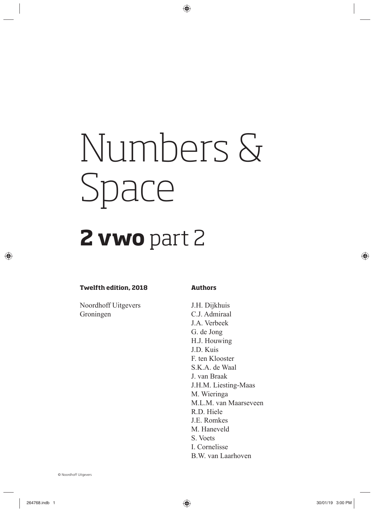# Numbers & Space

## **2 vwo** part 2

### **Twelfth edition, 2018**

Noordhoff Uitgevers Groningen

### **Authors**

J.H. Dijkhuis C.J. Admiraal J.A. Verbeek G. de Jong H.J. Houwing J.D. Kuis F. ten Klooster S.K.A. de Waal J. van Braak J.H.M. Liesting-Maas M. Wieringa M.L.M. van Maarseveen R.D. Hiele J.E. Romkes M. Haneveld S. Voets I. Cornelisse B.W. van Laarhoven